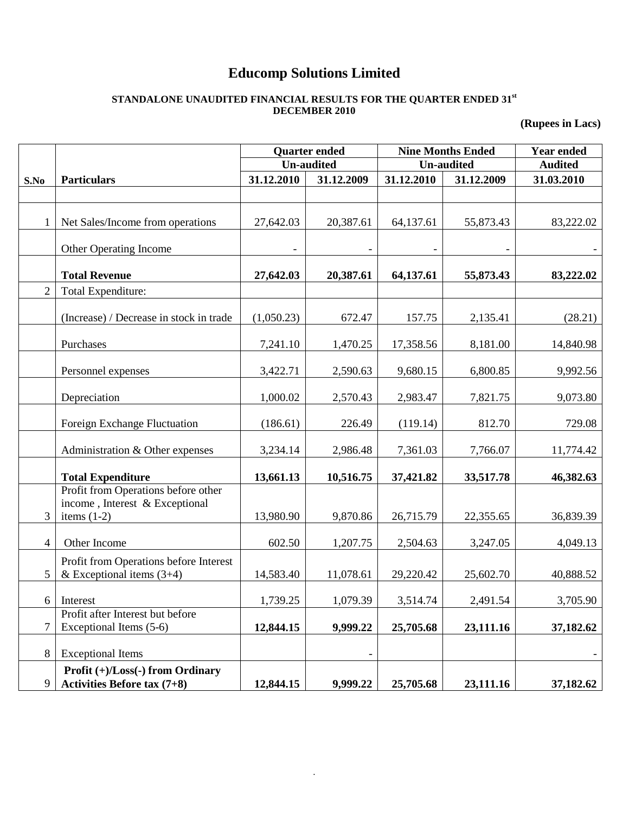# **Educomp Solutions Limited**

#### **STANDALONE UNAUDITED FINANCIAL RESULTS FOR THE QUARTER ENDED 31st DECEMBER 2010**

**(Rupees in Lacs)**

|                |                                                                                        | <b>Quarter ended</b> |            | <b>Nine Months Ended</b> | <b>Year ended</b> |            |
|----------------|----------------------------------------------------------------------------------------|----------------------|------------|--------------------------|-------------------|------------|
|                |                                                                                        | <b>Un-audited</b>    |            | <b>Un-audited</b>        | <b>Audited</b>    |            |
| S.No           | <b>Particulars</b>                                                                     | 31.12.2010           | 31.12.2009 | 31.12.2010               | 31.12.2009        | 31.03.2010 |
|                |                                                                                        |                      |            |                          |                   |            |
|                | Net Sales/Income from operations                                                       | 27,642.03            | 20,387.61  | 64,137.61                | 55,873.43         | 83,222.02  |
|                | Other Operating Income                                                                 |                      |            |                          |                   |            |
|                | <b>Total Revenue</b>                                                                   | 27,642.03            | 20,387.61  | 64,137.61                | 55,873.43         | 83,222.02  |
| $\overline{2}$ | Total Expenditure:                                                                     |                      |            |                          |                   |            |
|                | (Increase) / Decrease in stock in trade                                                | (1,050.23)           | 672.47     | 157.75                   | 2,135.41          | (28.21)    |
|                | Purchases                                                                              | 7,241.10             | 1,470.25   | 17,358.56                | 8,181.00          | 14,840.98  |
|                | Personnel expenses                                                                     | 3,422.71             | 2,590.63   | 9,680.15                 | 6,800.85          | 9,992.56   |
|                | Depreciation                                                                           | 1,000.02             | 2,570.43   | 2,983.47                 | 7,821.75          | 9,073.80   |
|                | Foreign Exchange Fluctuation                                                           | (186.61)             | 226.49     | (119.14)                 | 812.70            | 729.08     |
|                | Administration & Other expenses                                                        | 3,234.14             | 2,986.48   | 7,361.03                 | 7,766.07          | 11,774.42  |
|                | <b>Total Expenditure</b>                                                               | 13,661.13            | 10,516.75  | 37,421.82                | 33,517.78         | 46,382.63  |
| 3              | Profit from Operations before other<br>income, Interest & Exceptional<br>items $(1-2)$ | 13,980.90            | 9,870.86   | 26,715.79                | 22,355.65         | 36,839.39  |
| $\overline{4}$ | Other Income                                                                           | 602.50               | 1,207.75   | 2,504.63                 | 3,247.05          | 4,049.13   |
| 5              | Profit from Operations before Interest<br>& Exceptional items $(3+4)$                  | 14,583.40            | 11,078.61  | 29,220.42                | 25,602.70         | 40,888.52  |
|                | 6 Interest                                                                             | 1,739.25             | 1,079.39   | 3,514.74                 | 2,491.54          | 3,705.90   |
| 7              | Profit after Interest but before<br>Exceptional Items (5-6)                            | 12,844.15            | 9,999.22   | 25,705.68                | 23,111.16         | 37,182.62  |
| 8              | <b>Exceptional Items</b>                                                               |                      |            |                          |                   |            |
| 9              | Profit (+)/Loss(-) from Ordinary<br><b>Activities Before tax (7+8)</b>                 | 12,844.15            | 9,999.22   | 25,705.68                | 23,111.16         | 37,182.62  |

.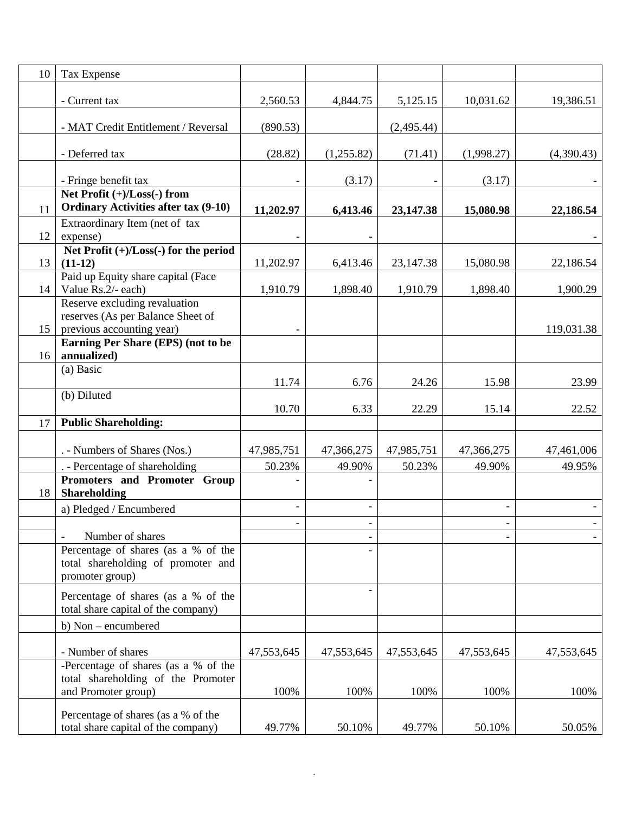| 10 | Tax Expense                                                                |            |            |            |            |            |
|----|----------------------------------------------------------------------------|------------|------------|------------|------------|------------|
|    | - Current tax                                                              | 2,560.53   | 4,844.75   | 5,125.15   | 10,031.62  | 19,386.51  |
|    | - MAT Credit Entitlement / Reversal                                        | (890.53)   |            | (2,495.44) |            |            |
|    | - Deferred tax                                                             | (28.82)    | (1,255.82) | (71.41)    | (1,998.27) | (4,390.43) |
|    | - Fringe benefit tax                                                       |            | (3.17)     |            | (3.17)     |            |
|    | Net Profit $(+)/$ Loss $(-)$ from                                          |            |            |            |            |            |
| 11 | <b>Ordinary Activities after tax (9-10)</b>                                | 11,202.97  | 6,413.46   | 23,147.38  | 15,080.98  | 22,186.54  |
|    | Extraordinary Item (net of tax                                             |            |            |            |            |            |
| 12 | expense)                                                                   |            |            |            |            |            |
| 13 | Net Profit $(+)/$ Loss $(-)$ for the period<br>$(11-12)$                   | 11,202.97  |            |            | 15,080.98  |            |
|    | Paid up Equity share capital (Face                                         |            | 6,413.46   | 23,147.38  |            | 22,186.54  |
| 14 | Value Rs.2/- each)                                                         | 1,910.79   | 1,898.40   | 1,910.79   | 1,898.40   | 1,900.29   |
|    | Reserve excluding revaluation                                              |            |            |            |            |            |
|    | reserves (As per Balance Sheet of                                          |            |            |            |            |            |
| 15 | previous accounting year)                                                  |            |            |            |            | 119,031.38 |
| 16 | Earning Per Share (EPS) (not to be<br>annualized)                          |            |            |            |            |            |
|    | (a) Basic                                                                  |            |            |            |            |            |
|    |                                                                            | 11.74      | 6.76       | 24.26      | 15.98      | 23.99      |
|    | (b) Diluted                                                                |            |            |            |            |            |
|    |                                                                            | 10.70      | 6.33       | 22.29      | 15.14      | 22.52      |
| 17 | <b>Public Shareholding:</b>                                                |            |            |            |            |            |
|    | . - Numbers of Shares (Nos.)                                               | 47,985,751 | 47,366,275 | 47,985,751 | 47,366,275 | 47,461,006 |
|    | . - Percentage of shareholding                                             | 50.23%     | 49.90%     | 50.23%     | 49.90%     | 49.95%     |
| 18 | Promoters and Promoter Group<br><b>Shareholding</b>                        |            |            |            |            |            |
|    | a) Pledged / Encumbered                                                    |            |            |            |            |            |
|    |                                                                            |            |            |            |            |            |
|    | Number of shares<br>Percentage of shares (as a % of the                    |            |            |            |            |            |
|    | total shareholding of promoter and                                         |            |            |            |            |            |
|    | promoter group)                                                            |            |            |            |            |            |
|    | Percentage of shares (as a % of the<br>total share capital of the company) |            |            |            |            |            |
|    | b) Non – encumbered                                                        |            |            |            |            |            |
|    |                                                                            |            |            |            |            |            |
|    | - Number of shares<br>-Percentage of shares (as a % of the                 | 47,553,645 | 47,553,645 | 47,553,645 | 47,553,645 | 47,553,645 |
|    | total shareholding of the Promoter                                         |            |            |            |            |            |
|    | and Promoter group)                                                        | 100%       | 100%       | 100%       | 100%       | 100%       |
|    |                                                                            |            |            |            |            |            |
|    | Percentage of shares (as a % of the<br>total share capital of the company) | 49.77%     | 50.10%     | 49.77%     | 50.10%     | 50.05%     |
|    |                                                                            |            |            |            |            |            |

.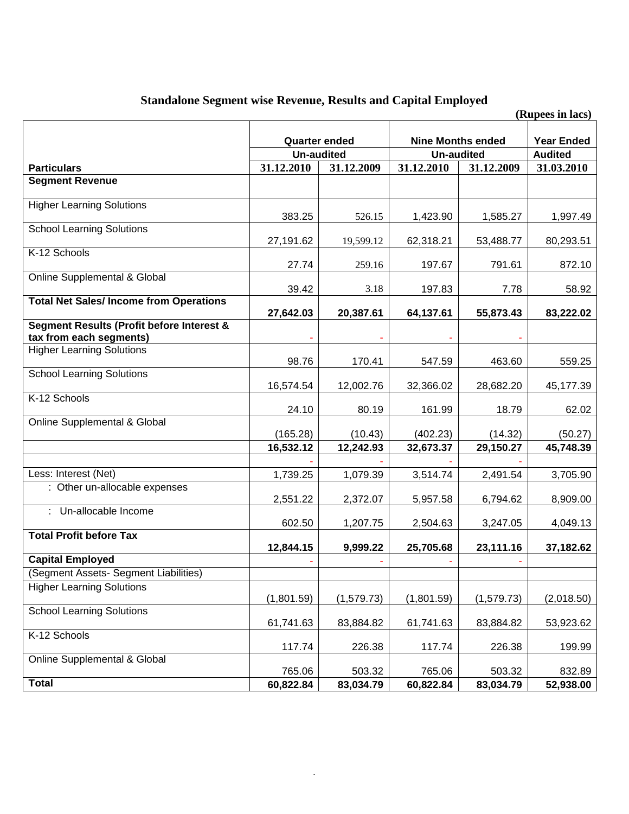## **Standalone Segment wise Revenue, Results and Capital Employed**

|                                                                      |                      |             |                          |                   | (Rupees in lacs) |
|----------------------------------------------------------------------|----------------------|-------------|--------------------------|-------------------|------------------|
|                                                                      |                      |             |                          |                   |                  |
|                                                                      | <b>Quarter ended</b> |             | <b>Nine Months ended</b> | <b>Year Ended</b> |                  |
|                                                                      | <b>Un-audited</b>    |             | <b>Un-audited</b>        | <b>Audited</b>    |                  |
| <b>Particulars</b>                                                   | 31.12.2010           | 31.12.2009  | 31.12.2010               | 31.12.2009        | 31.03.2010       |
| <b>Segment Revenue</b>                                               |                      |             |                          |                   |                  |
| <b>Higher Learning Solutions</b>                                     | 383.25               | 526.15      | 1,423.90                 | 1,585.27          | 1,997.49         |
| <b>School Learning Solutions</b>                                     | 27,191.62            | 19,599.12   | 62,318.21                | 53,488.77         | 80,293.51        |
| K-12 Schools                                                         | 27.74                | 259.16      | 197.67                   | 791.61            | 872.10           |
| Online Supplemental & Global                                         | 39.42                | 3.18        | 197.83                   | 7.78              | 58.92            |
| <b>Total Net Sales/Income from Operations</b>                        |                      |             |                          |                   |                  |
|                                                                      | 27,642.03            | 20,387.61   | 64,137.61                | 55,873.43         | 83,222.02        |
| Segment Results (Profit before Interest &<br>tax from each segments) |                      |             |                          |                   |                  |
| <b>Higher Learning Solutions</b>                                     | 98.76                | 170.41      | 547.59                   | 463.60            | 559.25           |
| <b>School Learning Solutions</b>                                     | 16,574.54            | 12,002.76   | 32,366.02                | 28,682.20         | 45,177.39        |
| K-12 Schools                                                         | 24.10                | 80.19       | 161.99                   | 18.79             | 62.02            |
| Online Supplemental & Global                                         | (165.28)             | (10.43)     | (402.23)                 | (14.32)           | (50.27)          |
|                                                                      | 16,532.12            | 12,242.93   | 32,673.37                | 29,150.27         | 45,748.39        |
|                                                                      |                      |             |                          |                   |                  |
| Less: Interest (Net)                                                 | 1,739.25             | 1,079.39    | 3,514.74                 | 2,491.54          | 3,705.90         |
| : Other un-allocable expenses                                        | 2,551.22             | 2,372.07    | 5,957.58                 | 6,794.62          | 8,909.00         |
| Un-allocable Income                                                  | 602.50               | 1,207.75    | 2,504.63                 | 3,247.05          | 4,049.13         |
| <b>Total Profit before Tax</b>                                       |                      |             |                          |                   |                  |
|                                                                      | 12,844.15            | 9,999.22    | 25,705.68                | 23,111.16         | 37,182.62        |
| <b>Capital Employed</b>                                              |                      |             |                          |                   |                  |
| (Segment Assets- Segment Liabilities)                                |                      |             |                          |                   |                  |
| <b>Higher Learning Solutions</b>                                     | (1,801.59)           | (1, 579.73) | (1,801.59)               | (1, 579.73)       | (2,018.50)       |
| <b>School Learning Solutions</b>                                     | 61,741.63            | 83,884.82   | 61,741.63                | 83,884.82         | 53,923.62        |
| K-12 Schools                                                         | 117.74               | 226.38      | 117.74                   | 226.38            | 199.99           |
| <b>Online Supplemental &amp; Global</b>                              |                      |             |                          |                   |                  |
|                                                                      | 765.06               | 503.32      | 765.06                   | 503.32            | 832.89           |
| <b>Total</b>                                                         | 60,822.84            | 83,034.79   | 60,822.84                | 83,034.79         | 52,938.00        |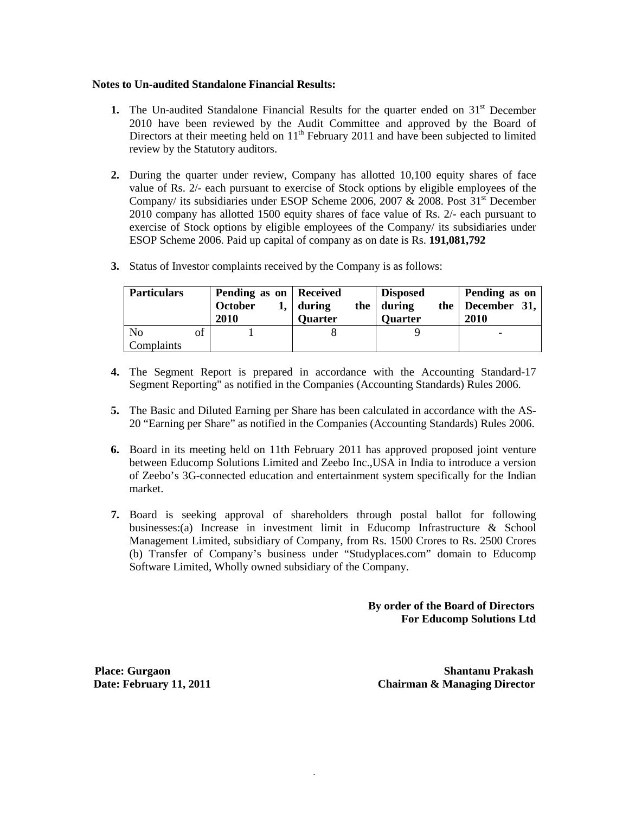#### **Notes to Un-audited Standalone Financial Results:**

- **1.** The Un-audited Standalone Financial Results for the quarter ended on  $31<sup>st</sup>$  December 2010 have been reviewed by the Audit Committee and approved by the Board of Directors at their meeting held on  $11<sup>th</sup>$  February 2011 and have been subjected to limited review by the Statutory auditors.
- **2.** During the quarter under review, Company has allotted 10,100 equity shares of face value of Rs. 2/- each pursuant to exercise of Stock options by eligible employees of the Company/ its subsidiaries under ESOP Scheme 2006, 2007 & 2008. Post  $31<sup>st</sup>$  December 2010 company has allotted 1500 equity shares of face value of Rs. 2/- each pursuant to exercise of Stock options by eligible employees of the Company/ its subsidiaries under ESOP Scheme 2006. Paid up capital of company as on date is Rs. **191,081,792**
- **3.** Status of Investor complaints received by the Company is as follows:

| <b>Particulars</b> |    | Pending as on   Received<br>October<br>2010 | during<br><b>Quarter</b> | <b>Disposed</b><br>the $\vert$ during<br><b>Ouarter</b> | Pending as on<br>the December $31,$<br>2010 |
|--------------------|----|---------------------------------------------|--------------------------|---------------------------------------------------------|---------------------------------------------|
| No<br>Complaints   | of |                                             |                          |                                                         |                                             |

- **4.** The Segment Report is prepared in accordance with the Accounting Standard-17 Segment Reporting" as notified in the Companies (Accounting Standards) Rules 2006.
- **5.** The Basic and Diluted Earning per Share has been calculated in accordance with the AS-20 "Earning per Share" as notified in the Companies (Accounting Standards) Rules 2006.
- **6.** Board in its meeting held on 11th February 2011 has approved proposed joint venture between Educomp Solutions Limited and Zeebo Inc.,USA in India to introduce a version of Zeebo's 3G-connected education and entertainment system specifically for the Indian market.
- **7.** Board is seeking approval of shareholders through postal ballot for following businesses:(a) Increase in investment limit in Educomp Infrastructure & School Management Limited, subsidiary of Company, from Rs. 1500 Crores to Rs. 2500 Crores (b) Transfer of Company's business under "Studyplaces.com" domain to Educomp Software Limited, Wholly owned subsidiary of the Company.

.

 **By order of the Board of Directors For Educomp Solutions Ltd**

**Place: Gurgaon Shantanu Prakash Date: February 11, 2011 Chairman & Managing Director**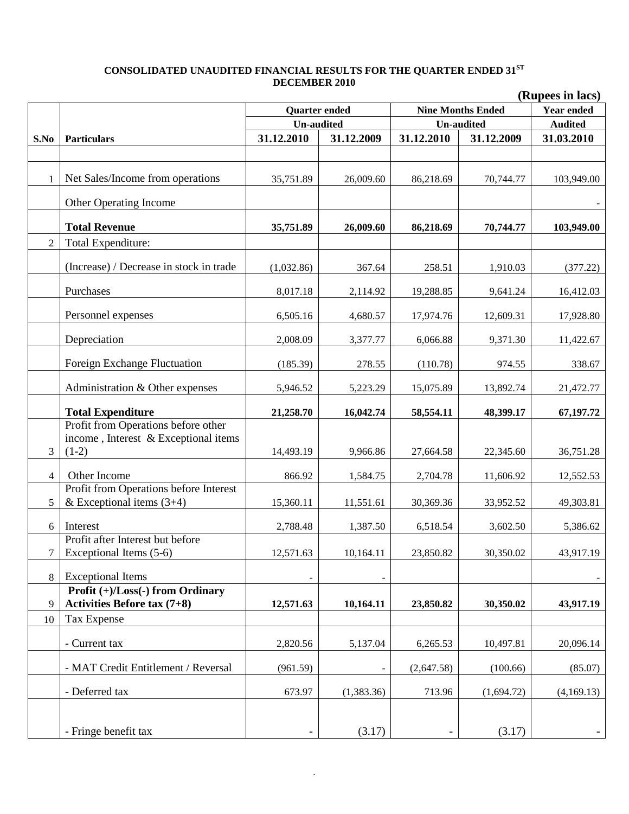### **CONSOLIDATED UNAUDITED FINANCIAL RESULTS FOR THE QUARTER ENDED 31ST DECEMBER 2010**

|                | (Rupees in lacs)                                                                       |                      |            |                          |                   |            |  |
|----------------|----------------------------------------------------------------------------------------|----------------------|------------|--------------------------|-------------------|------------|--|
|                |                                                                                        | <b>Quarter ended</b> |            | <b>Nine Months Ended</b> | <b>Year ended</b> |            |  |
|                |                                                                                        | <b>Un-audited</b>    |            | <b>Un-audited</b>        | <b>Audited</b>    |            |  |
| S.No           | <b>Particulars</b>                                                                     | 31.12.2010           | 31.12.2009 | 31.12.2010               | 31.12.2009        | 31.03.2010 |  |
|                |                                                                                        |                      |            |                          |                   |            |  |
| 1              | Net Sales/Income from operations                                                       | 35,751.89            | 26,009.60  | 86,218.69                | 70,744.77         | 103,949.00 |  |
|                | Other Operating Income                                                                 |                      |            |                          |                   |            |  |
|                | <b>Total Revenue</b>                                                                   | 35,751.89            | 26,009.60  | 86,218.69                | 70,744.77         | 103,949.00 |  |
| $\overline{2}$ | Total Expenditure:                                                                     |                      |            |                          |                   |            |  |
|                | (Increase) / Decrease in stock in trade                                                | (1,032.86)           | 367.64     | 258.51                   | 1,910.03          | (377.22)   |  |
|                | Purchases                                                                              | 8,017.18             | 2,114.92   | 19,288.85                | 9,641.24          | 16,412.03  |  |
|                | Personnel expenses                                                                     | 6,505.16             | 4,680.57   | 17,974.76                | 12,609.31         | 17,928.80  |  |
|                | Depreciation                                                                           | 2,008.09             | 3,377.77   | 6,066.88                 | 9,371.30          | 11,422.67  |  |
|                | Foreign Exchange Fluctuation                                                           | (185.39)             | 278.55     | (110.78)                 | 974.55            | 338.67     |  |
|                | Administration & Other expenses                                                        | 5,946.52             | 5,223.29   | 15,075.89                | 13,892.74         | 21,472.77  |  |
|                | <b>Total Expenditure</b>                                                               | 21,258.70            | 16,042.74  | 58,554.11                | 48,399.17         | 67,197.72  |  |
| 3              | Profit from Operations before other<br>income, Interest & Exceptional items<br>$(1-2)$ | 14,493.19            | 9,966.86   | 27,664.58                | 22,345.60         | 36,751.28  |  |
|                |                                                                                        |                      |            |                          |                   |            |  |
| $\overline{4}$ | Other Income                                                                           | 866.92               | 1,584.75   | 2,704.78                 | 11,606.92         | 12,552.53  |  |
| 5              | Profit from Operations before Interest<br>& Exceptional items $(3+4)$                  | 15,360.11            | 11,551.61  | 30,369.36                | 33,952.52         | 49,303.81  |  |
| 6              | Interest                                                                               | 2,788.48             | 1,387.50   | 6,518.54                 | 3,602.50          | 5,386.62   |  |
| 7              | Profit after Interest but before<br>Exceptional Items (5-6)                            | 12,571.63            | 10,164.11  | 23,850.82                | 30,350.02         | 43,917.19  |  |
| 8              | <b>Exceptional Items</b>                                                               |                      |            |                          |                   |            |  |
|                | Profit (+)/Loss(-) from Ordinary                                                       |                      |            |                          |                   |            |  |
| 9              | <b>Activities Before tax (7+8)</b>                                                     | 12,571.63            | 10,164.11  | 23,850.82                | 30,350.02         | 43,917.19  |  |
| 10             | <b>Tax Expense</b>                                                                     |                      |            |                          |                   |            |  |
|                | - Current tax                                                                          | 2,820.56             | 5,137.04   | 6,265.53                 | 10,497.81         | 20,096.14  |  |
|                | - MAT Credit Entitlement / Reversal                                                    | (961.59)             |            | (2,647.58)               | (100.66)          | (85.07)    |  |
|                | - Deferred tax                                                                         | 673.97               | (1,383.36) | 713.96                   | (1,694.72)        | (4,169.13) |  |
|                | - Fringe benefit tax                                                                   |                      | (3.17)     |                          | (3.17)            |            |  |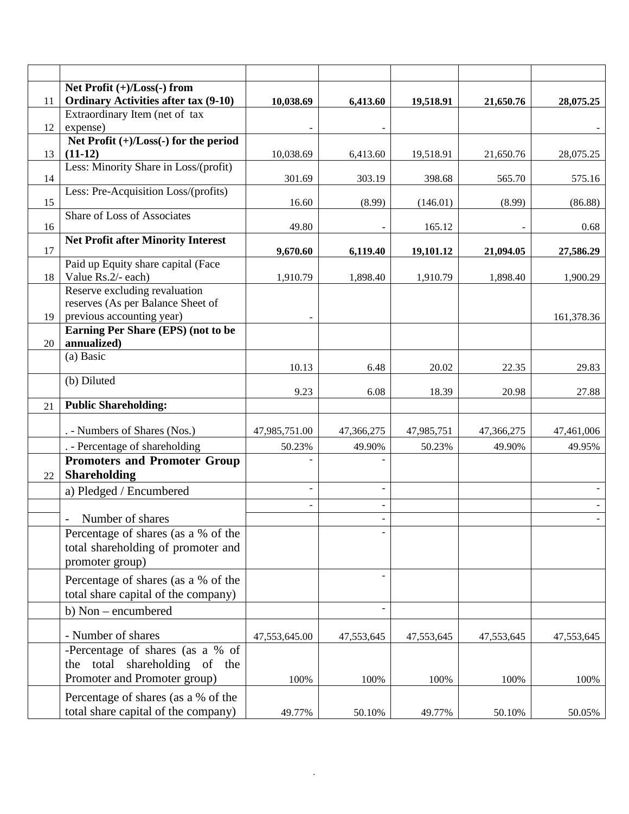|    | Net Profit (+)/Loss(-) from                                                                     |                          |            |            |            |            |
|----|-------------------------------------------------------------------------------------------------|--------------------------|------------|------------|------------|------------|
| 11 | <b>Ordinary Activities after tax (9-10)</b>                                                     | 10,038.69                | 6,413.60   | 19,518.91  | 21,650.76  | 28,075.25  |
|    | Extraordinary Item (net of tax                                                                  |                          |            |            |            |            |
| 12 | expense)                                                                                        | $\overline{\phantom{0}}$ |            |            |            |            |
|    | Net Profit $(+)/$ Loss $(-)$ for the period                                                     |                          |            |            |            |            |
| 13 | $(11-12)$<br>Less: Minority Share in Loss/(profit)                                              | 10,038.69                | 6,413.60   | 19,518.91  | 21,650.76  | 28,075.25  |
| 14 |                                                                                                 | 301.69                   | 303.19     | 398.68     | 565.70     | 575.16     |
| 15 | Less: Pre-Acquisition Loss/(profits)                                                            | 16.60                    | (8.99)     | (146.01)   | (8.99)     | (86.88)    |
| 16 | <b>Share of Loss of Associates</b>                                                              | 49.80                    |            | 165.12     |            | 0.68       |
| 17 | <b>Net Profit after Minority Interest</b>                                                       | 9,670.60                 | 6,119.40   | 19,101.12  | 21,094.05  | 27,586.29  |
| 18 | Paid up Equity share capital (Face<br>Value Rs.2/- each)                                        | 1,910.79                 | 1,898.40   | 1,910.79   | 1,898.40   | 1,900.29   |
| 19 | Reserve excluding revaluation<br>reserves (As per Balance Sheet of<br>previous accounting year) |                          |            |            |            | 161,378.36 |
|    | Earning Per Share (EPS) (not to be                                                              |                          |            |            |            |            |
| 20 | annualized)                                                                                     |                          |            |            |            |            |
|    | (a) Basic                                                                                       | 10.13                    | 6.48       | 20.02      | 22.35      | 29.83      |
|    | (b) Diluted                                                                                     | 9.23                     | 6.08       | 18.39      | 20.98      | 27.88      |
| 21 | <b>Public Shareholding:</b>                                                                     |                          |            |            |            |            |
|    | . - Numbers of Shares (Nos.)                                                                    | 47,985,751.00            | 47,366,275 | 47,985,751 | 47,366,275 | 47,461,006 |
|    | . - Percentage of shareholding                                                                  | 50.23%                   | 49.90%     | 50.23%     | 49.90%     | 49.95%     |
| 22 | <b>Promoters and Promoter Group</b><br><b>Shareholding</b>                                      |                          |            |            |            |            |
|    | a) Pledged / Encumbered                                                                         |                          |            |            |            |            |
|    |                                                                                                 |                          |            |            |            |            |
|    | Number of shares<br>$\overline{\phantom{a}}$                                                    |                          |            |            |            |            |
|    | Percentage of shares (as a % of the<br>total shareholding of promoter and<br>promoter group)    |                          |            |            |            |            |
|    | Percentage of shares (as a % of the<br>total share capital of the company)                      |                          |            |            |            |            |
|    | b) Non – encumbered                                                                             |                          |            |            |            |            |
|    | - Number of shares                                                                              | 47,553,645.00            | 47,553,645 | 47,553,645 | 47,553,645 | 47,553,645 |
|    | -Percentage of shares (as a % of<br>the total<br>shareholding of the                            |                          |            |            |            |            |
|    | Promoter and Promoter group)                                                                    | 100%                     | 100%       | 100%       | 100%       | 100%       |
|    | Percentage of shares (as a % of the<br>total share capital of the company)                      | 49.77%                   | 50.10%     | 49.77%     | 50.10%     | 50.05%     |
|    |                                                                                                 |                          |            |            |            |            |

.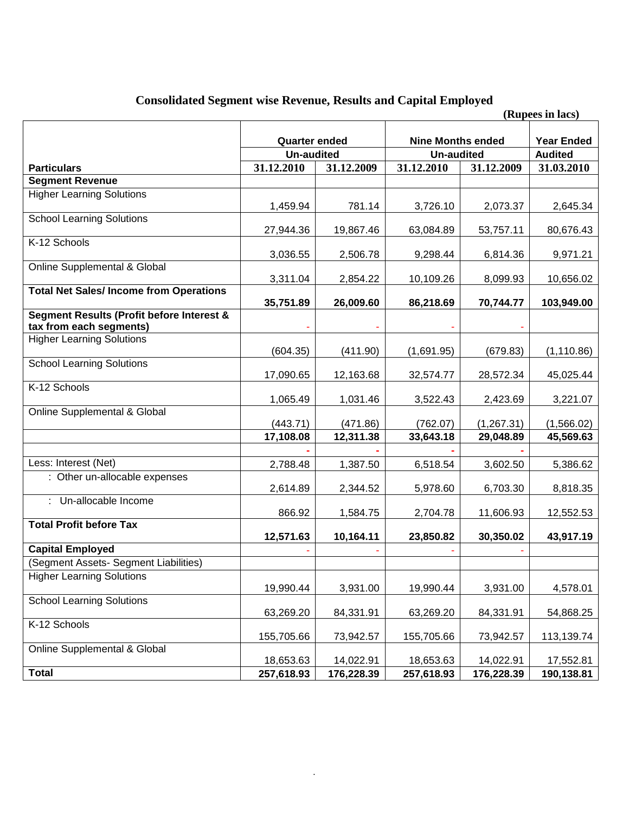## **Consolidated Segment wise Revenue, Results and Capital Employed**

|                                                                                 |                                           |            |                                               |                                     | (Rupees in lacs) |
|---------------------------------------------------------------------------------|-------------------------------------------|------------|-----------------------------------------------|-------------------------------------|------------------|
|                                                                                 | <b>Quarter ended</b><br><b>Un-audited</b> |            | <b>Nine Months ended</b><br><b>Un-audited</b> | <b>Year Ended</b><br><b>Audited</b> |                  |
| <b>Particulars</b>                                                              | 31.12.2010                                | 31.12.2009 | 31.12.2010                                    | 31.12.2009                          | 31.03.2010       |
| <b>Segment Revenue</b>                                                          |                                           |            |                                               |                                     |                  |
| <b>Higher Learning Solutions</b>                                                |                                           |            |                                               |                                     |                  |
|                                                                                 | 1,459.94                                  | 781.14     | 3,726.10                                      | 2,073.37                            | 2,645.34         |
| <b>School Learning Solutions</b>                                                | 27,944.36                                 | 19,867.46  | 63,084.89                                     | 53,757.11                           | 80,676.43        |
| K-12 Schools                                                                    |                                           |            |                                               |                                     |                  |
|                                                                                 | 3,036.55                                  | 2,506.78   | 9,298.44                                      | 6,814.36                            | 9,971.21         |
| Online Supplemental & Global                                                    |                                           |            |                                               |                                     |                  |
| <b>Total Net Sales/Income from Operations</b>                                   | 3,311.04                                  | 2,854.22   | 10,109.26                                     | 8,099.93                            | 10,656.02        |
|                                                                                 | 35,751.89                                 | 26,009.60  | 86,218.69                                     | 70,744.77                           | 103,949.00       |
| <b>Segment Results (Profit before Interest &amp;</b><br>tax from each segments) |                                           |            |                                               |                                     |                  |
| <b>Higher Learning Solutions</b>                                                |                                           |            |                                               |                                     |                  |
|                                                                                 | (604.35)                                  | (411.90)   | (1,691.95)                                    | (679.83)                            | (1, 110.86)      |
| <b>School Learning Solutions</b>                                                | 17,090.65                                 | 12,163.68  | 32,574.77                                     | 28,572.34                           | 45,025.44        |
| K-12 Schools                                                                    |                                           |            |                                               |                                     |                  |
|                                                                                 | 1,065.49                                  | 1,031.46   | 3,522.43                                      | 2,423.69                            | 3,221.07         |
| Online Supplemental & Global                                                    | (443.71)                                  | (471.86)   | (762.07)                                      | (1,267.31)                          | (1,566.02)       |
|                                                                                 | 17,108.08                                 | 12,311.38  | 33,643.18                                     | 29,048.89                           | 45,569.63        |
|                                                                                 |                                           |            |                                               |                                     |                  |
| Less: Interest (Net)                                                            | 2,788.48                                  | 1,387.50   | 6,518.54                                      | 3,602.50                            | 5,386.62         |
| : Other un-allocable expenses                                                   |                                           |            |                                               |                                     |                  |
|                                                                                 | 2,614.89                                  | 2,344.52   | 5,978.60                                      | 6,703.30                            | 8,818.35         |
| Un-allocable Income                                                             |                                           |            |                                               |                                     |                  |
|                                                                                 | 866.92                                    | 1,584.75   | 2,704.78                                      | 11,606.93                           | 12,552.53        |
| <b>Total Profit before Tax</b>                                                  | 12,571.63                                 | 10,164.11  | 23,850.82                                     | 30,350.02                           | 43,917.19        |
| <b>Capital Employed</b>                                                         |                                           |            |                                               |                                     |                  |
| (Segment Assets- Segment Liabilities)                                           |                                           |            |                                               |                                     |                  |
| <b>Higher Learning Solutions</b>                                                | 19,990.44                                 | 3,931.00   | 19,990.44                                     | 3,931.00                            | 4,578.01         |
| <b>School Learning Solutions</b>                                                | 63,269.20                                 | 84,331.91  | 63,269.20                                     | 84,331.91                           | 54,868.25        |
| K-12 Schools                                                                    | 155,705.66                                | 73,942.57  | 155,705.66                                    | 73,942.57                           | 113,139.74       |
| <b>Online Supplemental &amp; Global</b>                                         | 18,653.63                                 | 14,022.91  | 18,653.63                                     | 14,022.91                           | 17,552.81        |
| <b>Total</b>                                                                    | 257,618.93                                | 176,228.39 | 257,618.93                                    | 176,228.39                          | 190,138.81       |